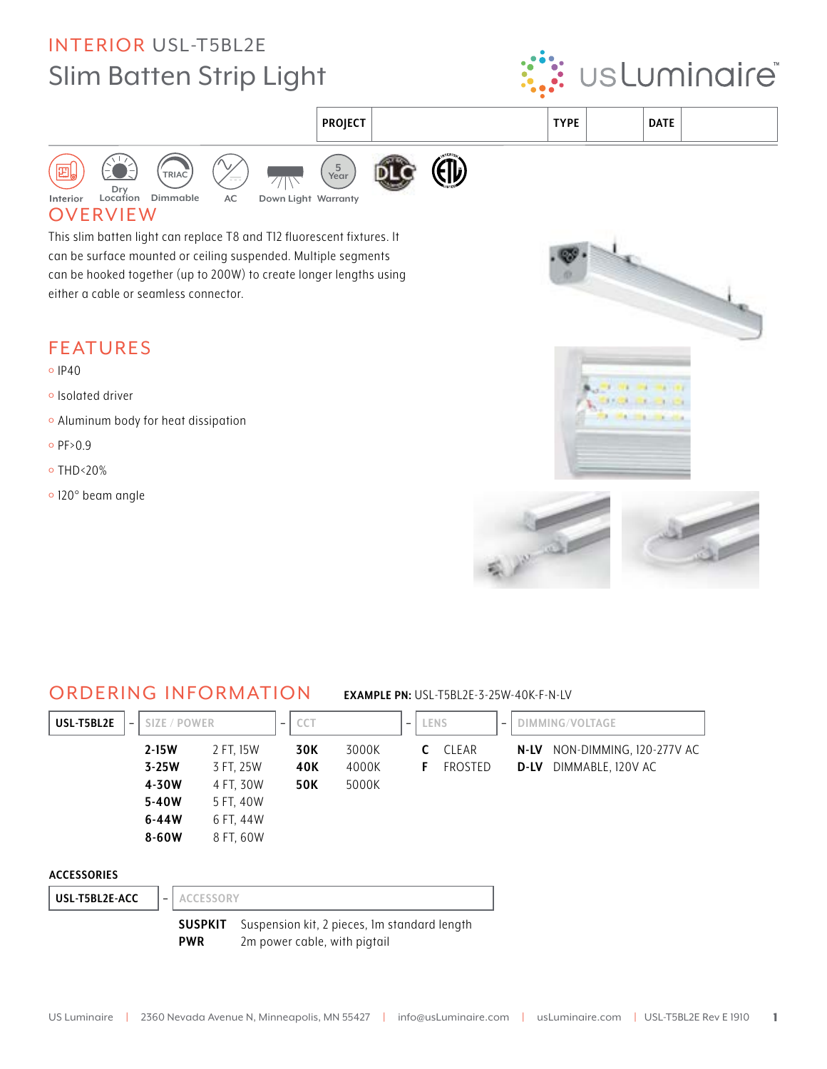## **INTERIOR USL-T5BL2E Slim Batten Strip Light**





**SUSPKIT** Suspension kit, 2 pieces, 1m standard length **PWR** 2m power cable, with pigtail